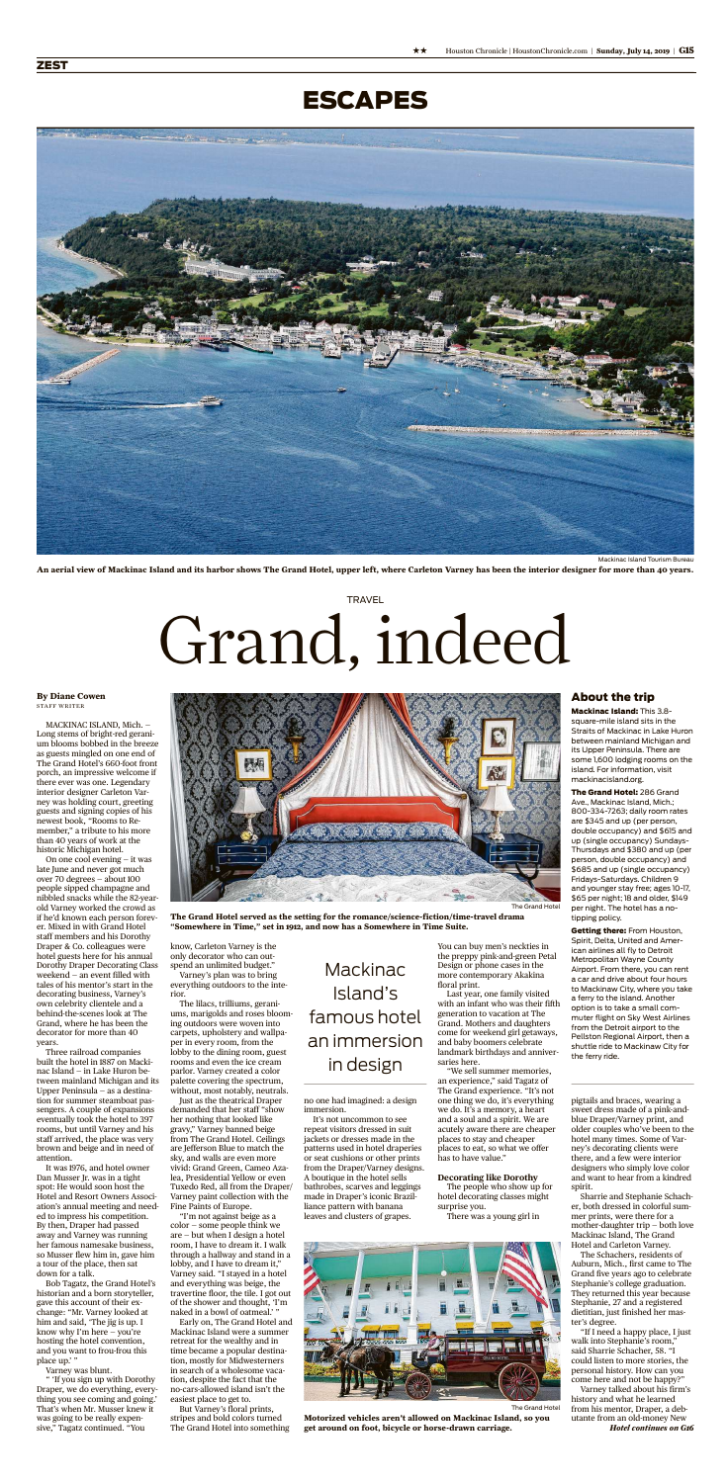MACKINAC ISLAND, Mich. — Long stems of bright-red geranium blooms bobbed in the breeze as guests mingled on one end of The Grand Hotel's 660-foot front porch, an impressive welcome if there ever was one. Legendary interior designer Carleton Varney was holding court, greeting guests and signing copies of his newest book, "Rooms to Re-

member," a tribute to his more than 40 years of work at the historic Michigan hotel.

It was 1976, and hotel owner Dan Musser Jr. was in a tight spot: He would soon host the Hotel and Resort Owners Association's annual meeting and needed to impress his competition. By then, Draper had passed away and Varney was running her famous namesake business, so Musser flew him in, gave him a tour of the place, then sat down for a talk.

On one cool evening — it was late June and never got much over 70 degrees — about 100 people sipped champagne and nibbled snacks while the 82-yearold Varney worked the crowd as if he'd known each person forever. Mixed in with Grand Hotel staff members and his Dorothy Draper & Co. colleagues were hotel guests here for his annual Dorothy Draper Decorating Class weekend — an event filled with tales of his mentor's start in the decorating business, Varney's own celebrity clientele and a behind-the-scenes look at The Grand, where he has been the decorator for more than 40 years.

Three railroad companies built the hotel in 1887 on Mackinac Island — in Lake Huron between mainland Michigan and its Upper Peninsula — as a destination for summer steamboat passengers. A couple of expansions eventually took the hotel to 397 rooms, but until Varney and his staff arrived, the place was very brown and beige and in need of attention.

no one had imagined: a design immersion.

Bob Tagatz, the Grand Hotel's historian and a born storyteller, gave this account of their exchange: "Mr. Varney looked at him and said, 'The jig is up. I know why I'm here — you're hosting the hotel convention, and you want to frou-frou this place up.' "

Varney was blunt.

" 'If you sign up with Dorothy Draper, we do everything, everything you see coming and going.' That's when Mr. Musser knew it was going to be really expensive," Tagatz continued. "You

know, Carleton Varney is the only decorator who can outspend an unlimited budget."

Varney's plan was to bring everything outdoors to the interior.

The lilacs, trilliums, geraniums, marigolds and roses blooming outdoors were woven into carpets, upholstery and wallpaper in every room, from the lobby to the dining room, guest rooms and even the ice cream parlor. Varney created a color palette covering the spectrum, without, most notably, neutrals.

Just as the theatrical Draper demanded that her staff "show her nothing that looked like gravy," Varney banned beige from The Grand Hotel. Ceilings are Jefferson Blue to match the sky, and walls are even more vivid: Grand Green, Cameo Azalea, Presidential Yellow or even Tuxedo Red, all from the Draper/ Varney paint collection with the Fine Paints of Europe.

> "If I need a happy place, I just walk into Stephanie's room," said Sharrie Schacher, 58. "I could listen to more stories, the personal history. How can you come here and not be happy?"

## **TRAVEL** Grand, indeed

"I'm not against beige as a color — some people think we are—but when I design a hotel room, I have to dream it. I walk through a hallway and stand in a lobby, and I have to dream it," Varney said. "I stayed in a hotel and everything was beige, the travertine floor, the tile. I got out of the shower and thought, 'I'm naked in a bowl of oatmeal.' "

The Grand Hotel: 286 Grand Ave., Mackinac Island, Mich.; 800-334-7263; daily room rates are \$345 and up (per person,

Early on, The Grand Hotel and Mackinac Island were a summer retreat for the wealthy and in time became a popular destination, mostly for Midwesterners in search of a wholesome vacation, despite the fact that the no-cars-allowed island isn't the easiest place to get to.

But Varney's floral prints, stripes and bold colors turned The Grand Hotel into something **Getting there: From Houston,** Spirit, Delta, United and American airlines all fly to Detroit Metropolitan Wayne County Airport. From there, you can rent a car and drive about four hours to Mackinaw City, where you take a ferry to the island. Another option is to take a small commuter flight on Sky West Airlines from the Detroit airport to the Pellston Regional Airport, then a shuttle ride to Mackinaw City for the ferry ride.

It's not uncommon to see repeat visitors dressed in suit jackets or dresses made in the patterns used in hotel draperies or seat cushions or other prints from the Draper/Varney designs. A boutique in the hotel sells bathrobes, scarves and leggings made in Draper's iconic Brazilliance pattern with banana leaves and clusters of grapes.

You can buy men's neckties in the preppy pink-and-green Petal Design or phone cases in the more contemporary Akakina floral print.

Last year, one family visited with an infant who was their fifth generation to vacation at The Grand. Mothers and daughters come for weekend girl getaways, and baby boomers celebrate landmark birthdays and anniversaries here.

"We sell summer memories, an experience," said Tagatz of The Grand experience. "It's not one thing we do, it's everything we do. It's a memory, a heart and a soul and a spirit. We are acutely aware there are cheaper places to stay and cheaper places to eat, so what we offer has to have value."

#### **Decorating like Dorothy**

The people who show up for hotel decorating classes might surprise you.

There was a young girl in

pigtails and braces, wearing a sweet dress made of a pink-andblue Draper/Varney print, and older couples who've been to the hotel many times. Some of Varney's decorating clients were there, and a few were interior designers who simply love color and want to hear from a kindred spirit.

Sharrie and Stephanie Schacher, both dressed in colorful summer prints, were there for a mother-daughter trip — both love Mackinac Island, The Grand Hotel and Carleton Varney.

The Schachers, residents of Auburn, Mich., first came to The Grand five years ago to celebrate Stephanie's college graduation. They returned this year because Stephanie, 27 and a registered dietitian, just finished her master's degree.



An aerial view of Mackinac Island and its harbor shows The Grand Hotel, upper left, where Carleton Varney has been the interior designer for more than 40 years.

### **By Diane Cowen** STAFF WRITER



**The Grand Hotel served as the setting for the romance/science-fiction/time-travel drama "Somewhere in Time," set in 1912, and now has a Somewhere in Time Suite.**



**Motorized vehicles aren't allowed on Mackinac Island, so you get around on foot, bicycle or horse-drawn carriage.**

### About the trip

Mackinac Island: This 3.8 square-mile island sits in the Straits of Mackinac in Lake Huron between mainland Michigan and its Upper Peninsula. There are some 1,600 lodging rooms on the island. For information, visit mackinacisland.org.

Varney talked about his firm's history and what he learned from his mentor, Draper, a debutante from an old-money New *Hotel continues on G16*

double occupancy) and \$615 and up (single occupancy) Sundays-Thursdays and \$380 and up (per person, double occupancy) and \$685 and up (single occupancy) Fridays-Saturdays. Children 9 and younger stay free; ages 10-17, \$65 per night; 18 and older, \$149 per night. The hotel has a notipping policy.

## ESCAPES

### Mackinac Island's famous hotel an immersion in design